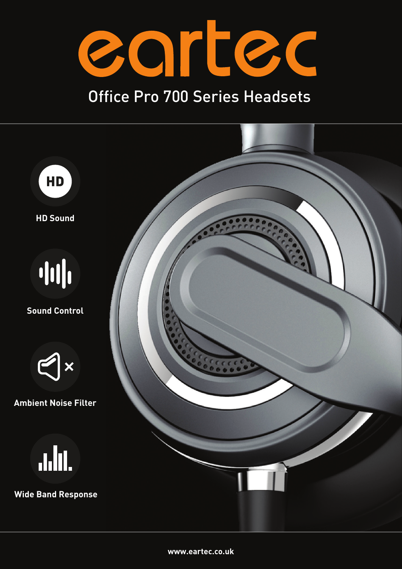

## Office Pro 700 Series Headsets